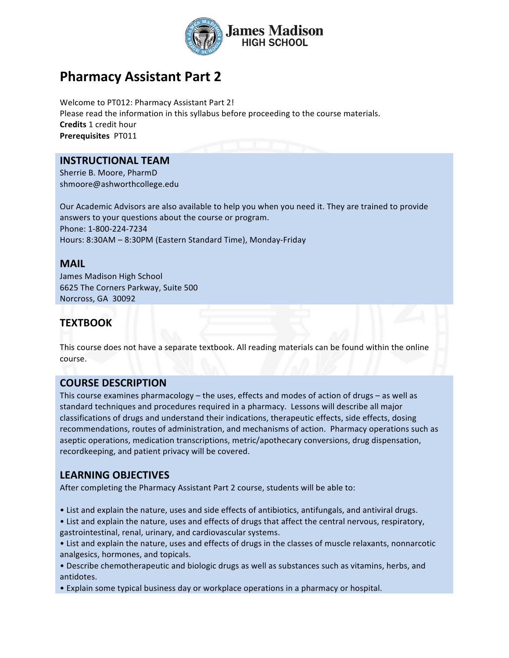

# **Pharmacy Assistant Part 2**

Welcome to PT012: Pharmacy Assistant Part 2! Please read the information in this syllabus before proceeding to the course materials. **Credits** 1 credit hour **Prerequisites** PT011

#### **INSTRUCTIONAL TEAM**

Sherrie B. Moore, PharmD shmoore@ashworthcollege.edu

Our Academic Advisors are also available to help you when you need it. They are trained to provide answers to your questions about the course or program. Phone: 1-800-224-7234 Hours: 8:30AM - 8:30PM (Eastern Standard Time), Monday-Friday

#### **MAIL**

James Madison High School 6625 The Corners Parkway, Suite 500 Norcross, GA 30092

### **TEXTBOOK**

This course does not have a separate textbook. All reading materials can be found within the online course.

#### **COURSE DESCRIPTION**

This course examines pharmacology – the uses, effects and modes of action of drugs – as well as standard techniques and procedures required in a pharmacy. Lessons will describe all major classifications of drugs and understand their indications, therapeutic effects, side effects, dosing recommendations, routes of administration, and mechanisms of action. Pharmacy operations such as aseptic operations, medication transcriptions, metric/apothecary conversions, drug dispensation, recordkeeping, and patient privacy will be covered.

### **LEARNING OBJECTIVES**

After completing the Pharmacy Assistant Part 2 course, students will be able to:

- List and explain the nature, uses and side effects of antibiotics, antifungals, and antiviral drugs.
- List and explain the nature, uses and effects of drugs that affect the central nervous, respiratory, gastrointestinal, renal, urinary, and cardiovascular systems.
- List and explain the nature, uses and effects of drugs in the classes of muscle relaxants, nonnarcotic analgesics, hormones, and topicals.
- Describe chemotherapeutic and biologic drugs as well as substances such as vitamins, herbs, and antidotes.
- Explain some typical business day or workplace operations in a pharmacy or hospital.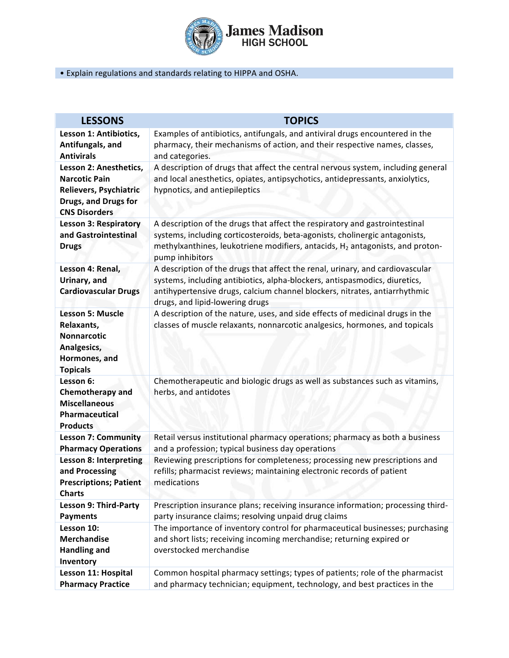

#### • Explain regulations and standards relating to HIPPA and OSHA.

| <b>LESSONS</b>                                                                                                           | <b>TOPICS</b>                                                                                                                                                                                                                                                                |
|--------------------------------------------------------------------------------------------------------------------------|------------------------------------------------------------------------------------------------------------------------------------------------------------------------------------------------------------------------------------------------------------------------------|
| Lesson 1: Antibiotics,<br>Antifungals, and<br><b>Antivirals</b>                                                          | Examples of antibiotics, antifungals, and antiviral drugs encountered in the<br>pharmacy, their mechanisms of action, and their respective names, classes,<br>and categories.                                                                                                |
| Lesson 2: Anesthetics,<br><b>Narcotic Pain</b><br>Relievers, Psychiatric<br>Drugs, and Drugs for<br><b>CNS Disorders</b> | A description of drugs that affect the central nervous system, including general<br>and local anesthetics, opiates, antipsychotics, antidepressants, anxiolytics,<br>hypnotics, and antiepileptics                                                                           |
| <b>Lesson 3: Respiratory</b><br>and Gastrointestinal<br><b>Drugs</b>                                                     | A description of the drugs that affect the respiratory and gastrointestinal<br>systems, including corticosteroids, beta-agonists, cholinergic antagonists,<br>methylxanthines, leukotriene modifiers, antacids, H <sub>2</sub> antagonists, and proton-<br>pump inhibitors   |
| Lesson 4: Renal,<br>Urinary, and<br><b>Cardiovascular Drugs</b>                                                          | A description of the drugs that affect the renal, urinary, and cardiovascular<br>systems, including antibiotics, alpha-blockers, antispasmodics, diuretics,<br>antihypertensive drugs, calcium channel blockers, nitrates, antiarrhythmic<br>drugs, and lipid-lowering drugs |
| <b>Lesson 5: Muscle</b><br>Relaxants,<br><b>Nonnarcotic</b><br>Analgesics,<br>Hormones, and<br><b>Topicals</b>           | A description of the nature, uses, and side effects of medicinal drugs in the<br>classes of muscle relaxants, nonnarcotic analgesics, hormones, and topicals                                                                                                                 |
| Lesson 6:<br><b>Chemotherapy and</b><br><b>Miscellaneous</b><br>Pharmaceutical<br><b>Products</b>                        | Chemotherapeutic and biologic drugs as well as substances such as vitamins,<br>herbs, and antidotes                                                                                                                                                                          |
| <b>Lesson 7: Community</b><br><b>Pharmacy Operations</b>                                                                 | Retail versus institutional pharmacy operations; pharmacy as both a business<br>and a profession; typical business day operations                                                                                                                                            |
| <b>Lesson 8: Interpreting</b><br>and Processing<br><b>Prescriptions; Patient</b><br><b>Charts</b>                        | Reviewing prescriptions for completeness; processing new prescriptions and<br>refills; pharmacist reviews; maintaining electronic records of patient<br>medications                                                                                                          |
| <b>Lesson 9: Third-Party</b><br><b>Payments</b>                                                                          | Prescription insurance plans; receiving insurance information; processing third-<br>party insurance claims; resolving unpaid drug claims                                                                                                                                     |
| Lesson 10:<br><b>Merchandise</b><br><b>Handling and</b><br>Inventory                                                     | The importance of inventory control for pharmaceutical businesses; purchasing<br>and short lists; receiving incoming merchandise; returning expired or<br>overstocked merchandise                                                                                            |
| Lesson 11: Hospital<br><b>Pharmacy Practice</b>                                                                          | Common hospital pharmacy settings; types of patients; role of the pharmacist<br>and pharmacy technician; equipment, technology, and best practices in the                                                                                                                    |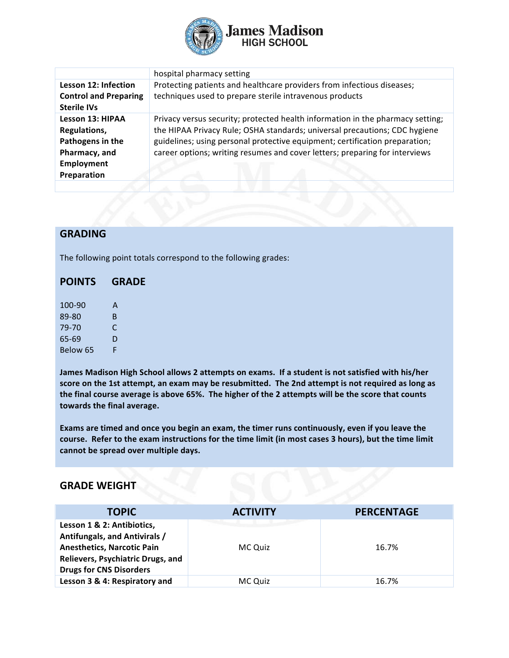

|                                                                                                           | hospital pharmacy setting                                                                                                                                                                                                                                                                                                  |
|-----------------------------------------------------------------------------------------------------------|----------------------------------------------------------------------------------------------------------------------------------------------------------------------------------------------------------------------------------------------------------------------------------------------------------------------------|
| Lesson 12: Infection<br><b>Control and Preparing</b><br><b>Sterile IVs</b>                                | Protecting patients and healthcare providers from infectious diseases;<br>techniques used to prepare sterile intravenous products                                                                                                                                                                                          |
| <b>Lesson 13: HIPAA</b><br>Regulations,<br>Pathogens in the<br>Pharmacy, and<br>Employment<br>Preparation | Privacy versus security; protected health information in the pharmacy setting;<br>the HIPAA Privacy Rule; OSHA standards; universal precautions; CDC hygiene<br>guidelines; using personal protective equipment; certification preparation;<br>career options; writing resumes and cover letters; preparing for interviews |
|                                                                                                           |                                                                                                                                                                                                                                                                                                                            |

#### **GRADING**

The following point totals correspond to the following grades:

## **POINTS GRADE**

| 100-90   | А |
|----------|---|
| 89-80    | В |
| 79-70    | C |
| 65-69    | D |
| Below 65 | F |

James Madison High School allows 2 attempts on exams. If a student is not satisfied with his/her score on the 1st attempt, an exam may be resubmitted. The 2nd attempt is not required as long as the final course average is above 65%. The higher of the 2 attempts will be the score that counts towards the final average.

Exams are timed and once you begin an exam, the timer runs continuously, even if you leave the course. Refer to the exam instructions for the time limit (in most cases 3 hours), but the time limit cannot be spread over multiple days.

#### **GRADE WEIGHT**

| <b>TOPIC</b>                                                                                                                                                            | <b>ACTIVITY</b> | <b>PERCENTAGE</b> |
|-------------------------------------------------------------------------------------------------------------------------------------------------------------------------|-----------------|-------------------|
| Lesson 1 & 2: Antibiotics,<br>Antifungals, and Antivirals /<br><b>Anesthetics, Narcotic Pain</b><br>Relievers, Psychiatric Drugs, and<br><b>Drugs for CNS Disorders</b> | MC Quiz         | 16.7%             |
| Lesson 3 & 4: Respiratory and                                                                                                                                           | MC Quiz         | 16.7%             |